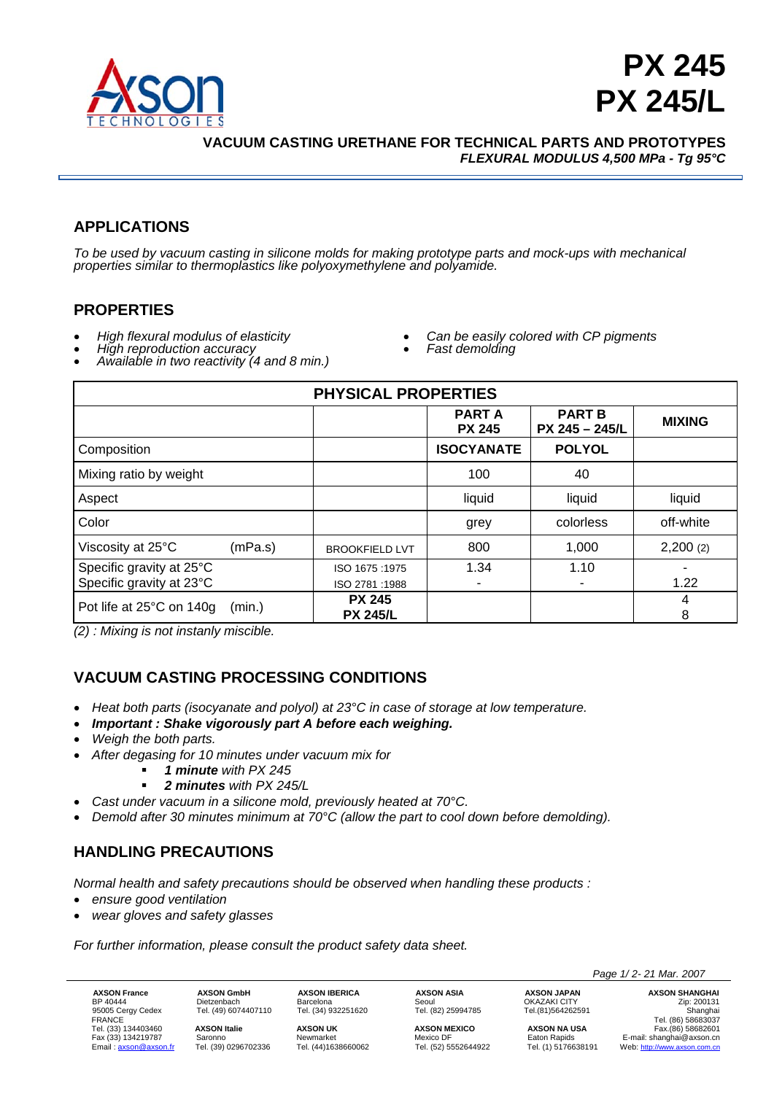



**VACUUM CASTING URETHANE FOR TECHNICAL PARTS AND PROTOTYPES**  *FLEXURAL MODULUS 4,500 MPa - Tg 95°C* 

# **APPLICATIONS**

*To be used by vacuum casting in silicone molds for making prototype parts and mock-ups with mechanical properties similar to thermoplastics like polyoxymethylene and polyamide.* 

## **PROPERTIES**

- 
- 
- *High flexural modulus of elasticity High reproduction accuracy Awailable in two reactivity (4 and 8 min.)*
- *Can be easily colored with CP pigments Fast demolding*
- 

| <b>PHYSICAL PROPERTIES</b>                           |         |                                  |                               |                                   |               |  |  |
|------------------------------------------------------|---------|----------------------------------|-------------------------------|-----------------------------------|---------------|--|--|
|                                                      |         |                                  | <b>PARTA</b><br><b>PX 245</b> | <b>PART B</b><br>$PX$ 245 - 245/L | <b>MIXING</b> |  |  |
| Composition                                          |         |                                  | <b>ISOCYANATE</b>             | <b>POLYOL</b>                     |               |  |  |
| Mixing ratio by weight                               |         |                                  | 100                           | 40                                |               |  |  |
| Aspect                                               |         |                                  | liquid                        | liquid                            | liquid        |  |  |
| Color                                                |         |                                  | grey                          | colorless                         | off-white     |  |  |
| Viscosity at 25°C                                    | (mPa.s) | <b>BROOKFIELD LVT</b>            | 800                           | 1,000                             | 2,200(2)      |  |  |
| Specific gravity at 25°C<br>Specific gravity at 23°C |         | ISO 1675:1975<br>ISO 2781:1988   | 1.34                          | 1.10                              | 1.22          |  |  |
| Pot life at 25°C on 140g                             | (min.)  | <b>PX 245</b><br><b>PX 245/L</b> |                               |                                   | 4<br>8        |  |  |

*(2) : Mixing is not instanly miscible.* 

## **VACUUM CASTING PROCESSING CONDITIONS**

- *Heat both parts (isocyanate and polyol) at 23°C in case of storage at low temperature.*
- *Important : Shake vigorously part A before each weighing.*
- *Weigh the both parts.*
- *After degasing for 10 minutes under vacuum mix for* 
	- *1 minute with PX 245* 
		- *2 minutes with PX 245/L*
- *Cast under vacuum in a silicone mold, previously heated at 70°C.*
- *Demold after 30 minutes minimum at 70°C (allow the part to cool down before demolding).*

## **HANDLING PRECAUTIONS**

*Normal health and safety precautions should be observed when handling these products :* 

- *ensure good ventilation*
- *wear gloves and safety glasses*

*For further information, please consult the product safety data sheet.* 

**AXSON France AXSON GmbH AXSON IBERICA AXSON ASIA AXSON JAPAN AXSON SHANGHAI**<br>BP 40444 Dietzenbach Barcelona Seoul OKAZAKI CITY ORAZARI Zip: 200131<br>95005 Cergy Cedex Tel. (49) 6074407110 Tel. (34) 932251620 Tel. (82) 25994 CHE DISCONSICING CHE DISCONSICION CHE DISCONSICION CHE DISCONSICION CHE DISCONSICION CHE DISCONSICION CHE DISCON<br>FRANCE Tel. (34) 932251620 Tel. (82) 25994785 Tel. (81)564262591 Tel. (86) 58683037<br>Tel. (33) 134403460 **AXS** 

BP 40444 Dietzenbach Barcelona Seoul OKAZAKI CITY Zip: 200131

FRANCE Tel. (86) 58683037 Tel. (33) 134403460 **AXSON Italie AXSON UK AXSON MEXICO AXSON NA USA** Fax.(86) 58682601 Fax (33) 134219787 Saronno Newmarket Newto DF Eaton Rapids E-mail: shanghai@axson.cn<br>
Email: <u>axson@axson.fr</u> Tel. (39) 0296702336 Tel. (44)1638660062 Tel. (52) 5552644922 Tel. (1) 5176638191 Web: http://www.axson.com.cn Web: http://www.axson.com.cn

 *Page 1/ 2- 21 Mar. 2007*